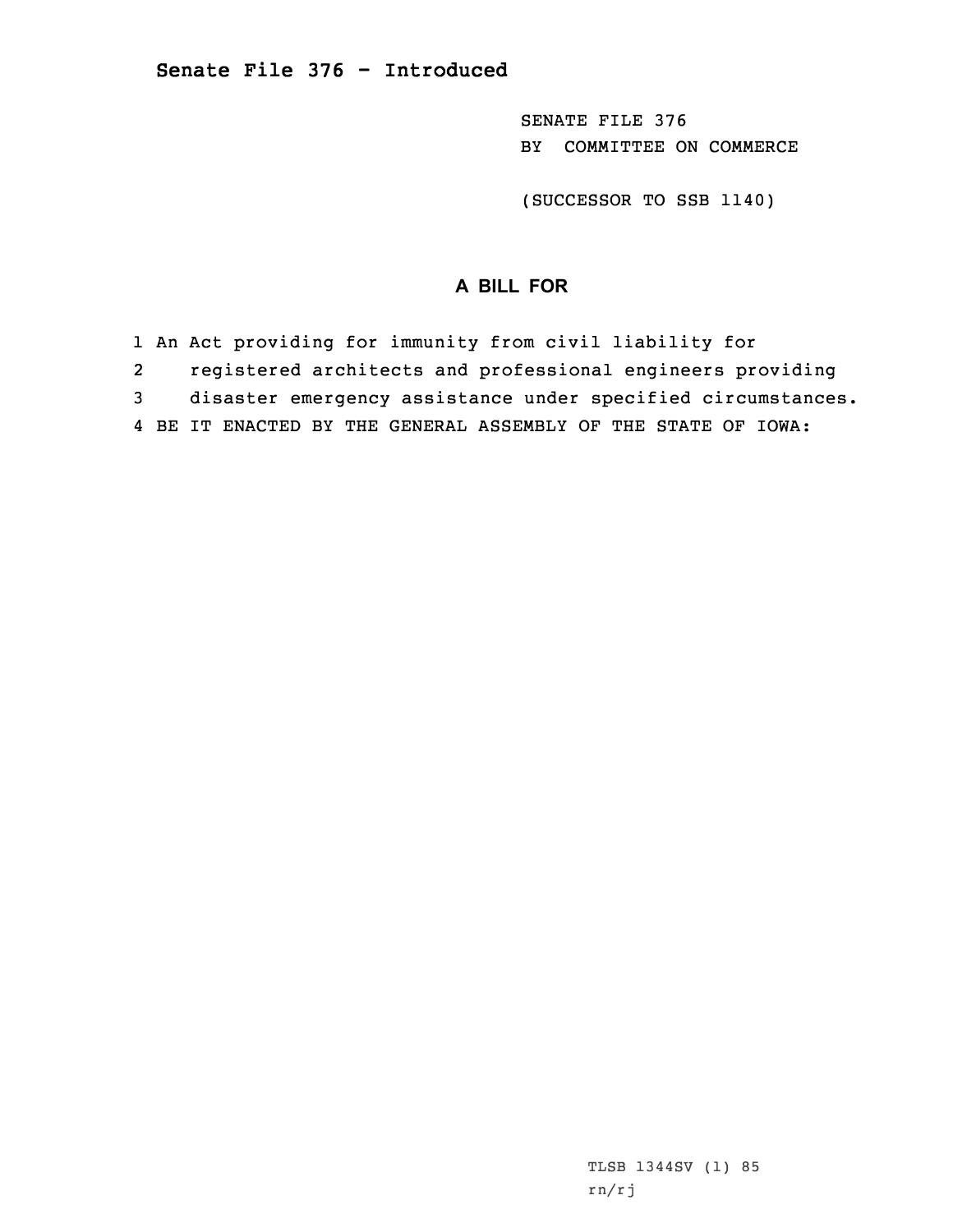SENATE FILE 376 BY COMMITTEE ON COMMERCE

(SUCCESSOR TO SSB 1140)

## **A BILL FOR**

1 An Act providing for immunity from civil liability for

2registered architects and professional engineers providing

3 disaster emergency assistance under specified circumstances.

4 BE IT ENACTED BY THE GENERAL ASSEMBLY OF THE STATE OF IOWA:

TLSB 1344SV (1) 85 rn/rj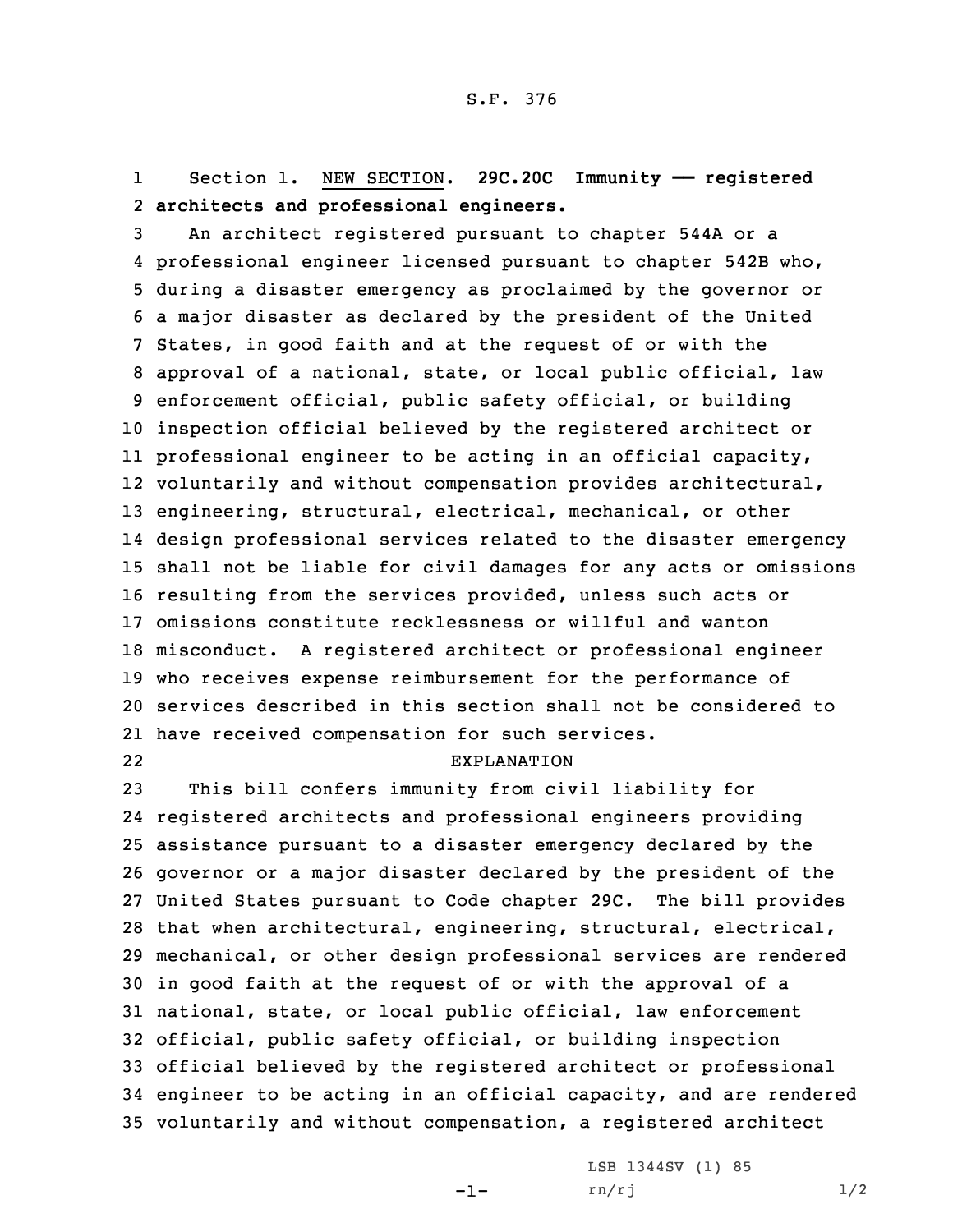1 Section 1. NEW SECTION. **29C.20C Immunity —— registered** 2 **architects and professional engineers.**

 An architect registered pursuant to chapter 544A or <sup>a</sup> professional engineer licensed pursuant to chapter 542B who, during <sup>a</sup> disaster emergency as proclaimed by the governor or <sup>a</sup> major disaster as declared by the president of the United States, in good faith and at the request of or with the approval of <sup>a</sup> national, state, or local public official, law enforcement official, public safety official, or building inspection official believed by the registered architect or professional engineer to be acting in an official capacity, voluntarily and without compensation provides architectural, engineering, structural, electrical, mechanical, or other design professional services related to the disaster emergency shall not be liable for civil damages for any acts or omissions resulting from the services provided, unless such acts or omissions constitute recklessness or willful and wanton misconduct. <sup>A</sup> registered architect or professional engineer who receives expense reimbursement for the performance of services described in this section shall not be considered to have received compensation for such services.

22

## EXPLANATION

 This bill confers immunity from civil liability for registered architects and professional engineers providing assistance pursuant to <sup>a</sup> disaster emergency declared by the governor or <sup>a</sup> major disaster declared by the president of the United States pursuant to Code chapter 29C. The bill provides that when architectural, engineering, structural, electrical, mechanical, or other design professional services are rendered in good faith at the request of or with the approval of <sup>a</sup> national, state, or local public official, law enforcement official, public safety official, or building inspection official believed by the registered architect or professional engineer to be acting in an official capacity, and are rendered voluntarily and without compensation, <sup>a</sup> registered architect

-1-

LSB 1344SV (1) 85  $rn/rj$  1/2